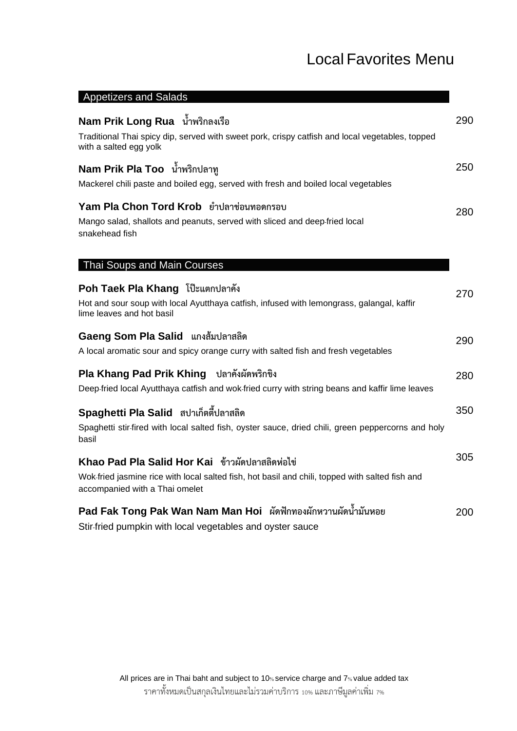#### Local Favorites Menu

| <b>Appetizers and Salads</b>                                                                                                                                                         |     |
|--------------------------------------------------------------------------------------------------------------------------------------------------------------------------------------|-----|
| Nam Prik Long Rua น้ำพริกลงเรือ<br>Traditional Thai spicy dip, served with sweet pork, crispy catfish and local vegetables, topped                                                   | 290 |
| with a salted egg yolk                                                                                                                                                               |     |
| Nam Prik Pla Too น้ำพริกปลาทู<br>Mackerel chili paste and boiled egg, served with fresh and boiled local vegetables                                                                  | 250 |
| Yam Pla Chon Tord Krob ยำปลาช่อนทอดกรอบ<br>Mango salad, shallots and peanuts, served with sliced and deep-fried local<br>snakehead fish                                              | 280 |
| Thai Soups and Main Courses                                                                                                                                                          |     |
| Poh Taek Pla Khang โป๊ะแตกปลาคัง<br>Hot and sour soup with local Ayutthaya catfish, infused with lemongrass, galangal, kaffir<br>lime leaves and hot basil                           | 270 |
| Gaeng Som Pla Salid แกงส้มปลาสลิด<br>A local aromatic sour and spicy orange curry with salted fish and fresh vegetables                                                              | 290 |
| Pla Khang Pad Prik Khing ปลาคังผัดพริกขิง<br>Deep-fried local Ayutthaya catfish and wok-fried curry with string beans and kaffir lime leaves                                         | 280 |
| Spaghetti Pla Salid สปาเก็ตตี้ปลาสลิด<br>Spaghetti stir-fired with local salted fish, oyster sauce, dried chili, green peppercorns and holy<br>basil                                 | 350 |
| Khao Pad Pla Salid Hor Kai ข้าวผัดปลาสลิดห่อไข่<br>Wok-fried jasmine rice with local salted fish, hot basil and chili, topped with salted fish and<br>accompanied with a Thai omelet | 305 |
| Pad Fak Tong Pak Wan Nam Man Hoi ผัดฟักทองผักหวานผัดน้ำมันหอย                                                                                                                        | 200 |
|                                                                                                                                                                                      |     |

Stir-fried pumpkin with local vegetables and oyster sauce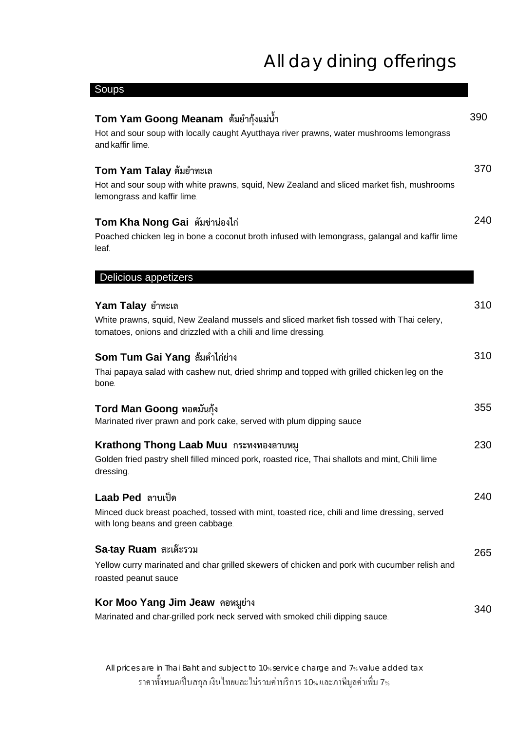| Soups                                                                                                                                                                         |     |
|-------------------------------------------------------------------------------------------------------------------------------------------------------------------------------|-----|
| Tom Yam Goong Meanam ต้มยำกุ้งแม่น้ำ<br>Hot and sour soup with locally caught Ayutthaya river prawns, water mushrooms lemongrass<br>and kaffir lime.                          | 390 |
| Tom Yam Talay ต้มยำทะเล<br>Hot and sour soup with white prawns, squid, New Zealand and sliced market fish, mushrooms<br>lemongrass and kaffir lime.                           | 370 |
| Tom Kha Nong Gai ตัมข่าน่องไก่<br>Poached chicken leg in bone a coconut broth infused with lemongrass, galangal and kaffir lime<br>leaf.                                      | 240 |
| Delicious appetizers                                                                                                                                                          |     |
| Yam Talay ยำทะเล<br>White prawns, squid, New Zealand mussels and sliced market fish tossed with Thai celery,<br>tomatoes, onions and drizzled with a chili and lime dressing. | 310 |
| Som Tum Gai Yang ส้มตำไก่ย่าง<br>Thai papaya salad with cashew nut, dried shrimp and topped with grilled chicken leg on the<br>bone.                                          | 310 |
| Tord Man Goong ทอดมันกุ้ง<br>Marinated river prawn and pork cake, served with plum dipping sauce                                                                              | 355 |
| Krathong Thong Laab Muu กระทงทองลาบหมู<br>Golden fried pastry shell filled minced pork, roasted rice, Thai shallots and mint, Chili lime<br>dressing.                         | 230 |
| Laab Ped ลาบเป็ด<br>Minced duck breast poached, tossed with mint, toasted rice, chili and lime dressing, served<br>with long beans and green cabbage.                         | 240 |
| Sa-tay Ruam สะเต๊ะรวม<br>Yellow curry marinated and char-grilled skewers of chicken and pork with cucumber relish and<br>roasted peanut sauce                                 | 265 |
| Kor Moo Yang Jim Jeaw  คอหมูย่าง<br>Marinated and char-grilled pork neck served with smoked chili dipping sauce.                                                              | 340 |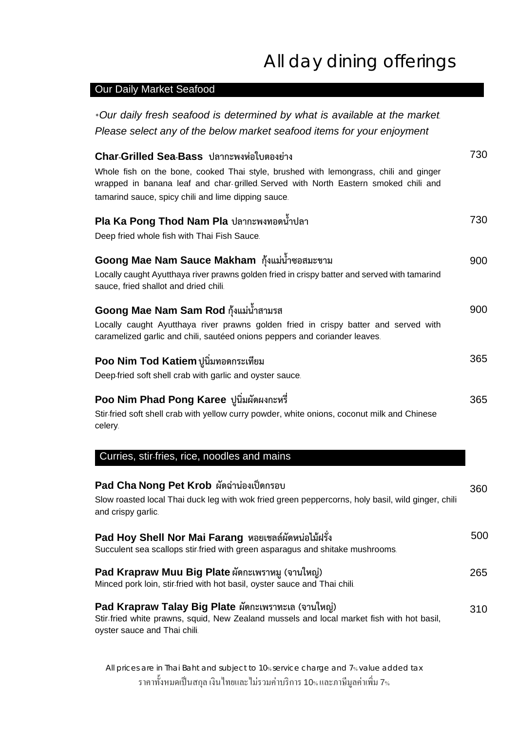#### Our Daily Market Seafood

| *Our daily fresh seafood is determined by what is available at the market                                                                                                                                                                                                      |     |
|--------------------------------------------------------------------------------------------------------------------------------------------------------------------------------------------------------------------------------------------------------------------------------|-----|
| Please select any of the below market seafood items for your enjoyment                                                                                                                                                                                                         |     |
| Char-Grilled Sea-Bass ปลากะพงห่อใบตองย่าง<br>Whole fish on the bone, cooked Thai style, brushed with lemongrass, chili and ginger<br>wrapped in banana leaf and char-grilled Served with North Eastern smoked chili and<br>tamarind sauce, spicy chili and lime dipping sauce. | 730 |
| Pla Ka Pong Thod Nam Pla ปลากะพงทอดน้ำปลา<br>Deep fried whole fish with Thai Fish Sauce.                                                                                                                                                                                       | 730 |
| Goong Mae Nam Sauce Makham กุ้งแม่น้ำซอสมะขาม<br>Locally caught Ayutthaya river prawns golden fried in crispy batter and served with tamarind<br>sauce, fried shallot and dried chili.                                                                                         | 900 |
| Goong Mae Nam Sam Rod กุ้งแม่น้ำสามรส<br>Locally caught Ayutthaya river prawns golden fried in crispy batter and served with<br>caramelized garlic and chili, sautéed onions peppers and coriander leaves.                                                                     | 900 |
| Poo Nim Tod Katiem ปูนิ่มทอดกระเทียม<br>Deep-fried soft shell crab with garlic and oyster sauce.                                                                                                                                                                               | 365 |
| Poo Nim Phad Pong Karee ปูนิ่มผัดผงกะหรื่<br>Stir-fried soft shell crab with yellow curry powder, white onions, coconut milk and Chinese<br>celery.                                                                                                                            | 365 |
| Curries, stir-fries, rice, noodles and mains                                                                                                                                                                                                                                   |     |
| Pad Cha Nong Pet Krob ผัดฉ่าน่องเป็ดกรอบ<br>Slow roasted local Thai duck leg with wok fried green peppercorns, holy basil, wild ginger, chili<br>and crispy garlic.                                                                                                            | 360 |
| Pad Hoy Shell Nor Mai Farang หอยเชลล์ผัดหน่อไม้ฝรั่ง<br>Succulent sea scallops stir-fried with green asparagus and shitake mushrooms.                                                                                                                                          | 500 |
| Pad Krapraw Muu Big Plate ผัดกะเพราหมู (จานใหญ่)<br>Minced pork loin, stir-fried with hot basil, oyster sauce and Thai chili.                                                                                                                                                  | 265 |
| Pad Krapraw Talay Big Plate ผัดกะเพราทะเล (จานใหญ่)<br>Stir-fried white prawns, squid, New Zealand mussels and local market fish with hot basil,<br>oyster sauce and Thai chili.                                                                                               | 310 |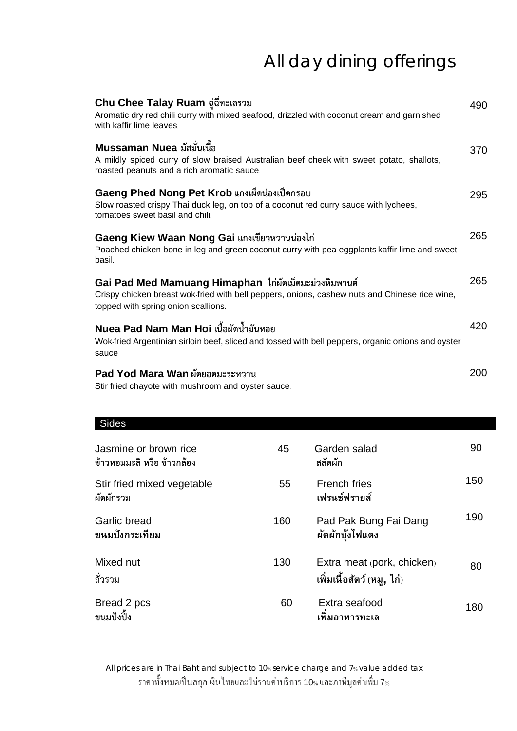| Chu Chee Talay Ruam ฉู่ฉี่ทะเลรวม<br>Aromatic dry red chili curry with mixed seafood, drizzled with coconut cream and garnished<br>with kaffir lime leaves.                                   | 490 |
|-----------------------------------------------------------------------------------------------------------------------------------------------------------------------------------------------|-----|
| Mussaman Nuea มัสมั่นเนื้อ<br>A mildly spiced curry of slow braised Australian beef cheek with sweet potato, shallots,<br>roasted peanuts and a rich aromatic sauce.                          | 370 |
| Gaeng Phed Nong Pet Krob แกงเผ็ดน่องเป็ดกรอบ<br>Slow roasted crispy Thai duck leg, on top of a coconut red curry sauce with lychees,<br>tomatoes sweet basil and chili.                       | 295 |
| Gaeng Kiew Waan Nong Gai แกงเขียวหวานน่องไก่<br>Poached chicken bone in leg and green coconut curry with pea eggplants kaffir lime and sweet<br>basil.                                        | 265 |
| Gai Pad Med Mamuang Himaphan ไก่ผัดเม็ดมะม่วงหิมพานต์<br>Crispy chicken breast wok fried with bell peppers, onions, cashew nuts and Chinese rice wine,<br>topped with spring onion scallions. | 265 |
| Nuea Pad Nam Man Hoi เนื้อผัดน้ำมันหอย<br>Wok-fried Argentinian sirloin beef, sliced and tossed with bell peppers, organic onions and oyster<br>sauce                                         | 420 |
| Pad Yod Mara Wan ผัดยอดมะระหวาน<br>Stir fried chayote with mushroom and oyster sauce.                                                                                                         | 200 |
| <b>Sides</b>                                                                                                                                                                                  |     |

| Jasmine or brown rice<br>ข้าวหอมมะลิ หรือ ข้าวกล้อง | 45  | Garden salad<br>สลัดผัก                                  | 90  |
|-----------------------------------------------------|-----|----------------------------------------------------------|-----|
| Stir fried mixed vegetable<br>ผัดผักรวม             | 55  | <b>French fries</b><br>เฟรนช์ฟรายส์                      | 150 |
| <b>Garlic bread</b><br>ขนมปังกระเทียม               | 160 | Pad Pak Bung Fai Dang<br>ผัดผักบุ้งไฟแดง                 | 190 |
| Mixed nut<br>ถั่วรวม                                | 130 | Extra meat (pork, chicken)<br>เพิ่มเนื้อสัตว์ (หมู, ไก่) | 80  |
| Bread 2 pcs<br>ขนมปังปิ้ง                           | 60  | Extra seafood<br>เพิ่มอาหารทะเล                          | 180 |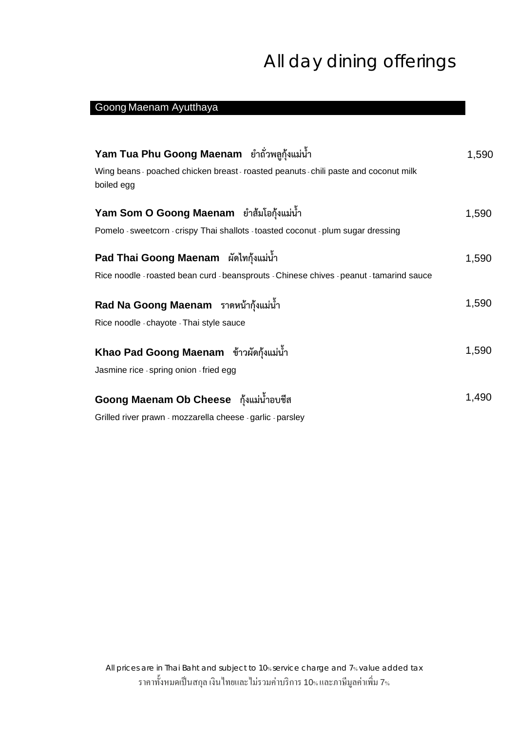#### Goong Maenam Ayutthaya

| Yam Tua Phu Goong Maenam ยำถั่วพลูกุ้งแม่น้ำ                                                       | 1,590 |
|----------------------------------------------------------------------------------------------------|-------|
| Wing beans - poached chicken breast - roasted peanuts - chili paste and coconut milk<br>boiled egg |       |
| Yam Som O Goong Maenam ยำส้มโอกุ้งแม่น้ำ                                                           | 1,590 |
| Pomelo - sweetcorn - crispy Thai shallots - toasted coconut - plum sugar dressing                  |       |
| Pad Thai Goong Maenam ผัดไทกุ้งแม่น้ำ                                                              | 1,590 |
| Rice noodle - roasted bean curd - beansprouts - Chinese chives - peanut - tamarind sauce           |       |
| Rad Na Goong Maenam ราดหน้ากุ้งแม่น้ำ                                                              | 1,590 |
| Rice noodle - chayote - Thai style sauce                                                           |       |
| Khao Pad Goong Maenam ข้าวผัดกุ้งแม่น้ำ                                                            | 1,590 |
| Jasmine rice - spring onion - fried egg                                                            |       |
| Goong Maenam Ob Cheese กุ้งแม่น้ำอบชีส                                                             | 1,490 |
|                                                                                                    |       |

Grilled river prawn - mozzarella cheese - garlic - parsley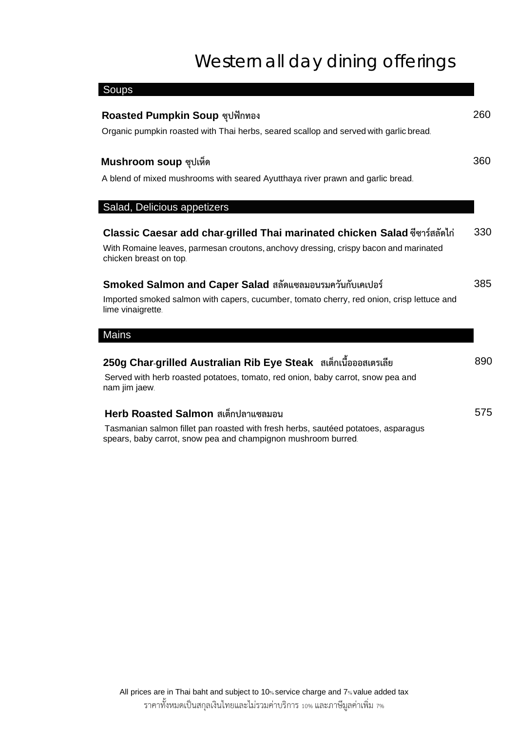# Western all day dining offerings

| Soups                                                                                                          |     |
|----------------------------------------------------------------------------------------------------------------|-----|
| Roasted Pumpkin Soup ซุปฟักทอง                                                                                 |     |
| Organic pumpkin roasted with Thai herbs, seared scallop and served with garlic bread.                          |     |
| Mushroom soup ซุปเห็ด                                                                                          | 360 |
| A blend of mixed mushrooms with seared Ayutthaya river prawn and garlic bread.                                 |     |
| Salad, Delicious appetizers                                                                                    |     |
| Classic Caesar add char-grilled Thai marinated chicken Salad ซีซาร์สลัดไก่                                     | 330 |
| With Romaine leaves, parmesan croutons, anchovy dressing, crispy bacon and marinated<br>chicken breast on top. |     |
| Smoked Salmon and Caper Salad สลัดแซลมอนรมควันกับเคเปอร์                                                       | 385 |
| Imported smoked salmon with capers, cucumber, tomato cherry, red onion, crisp lettuce and<br>lime vinaigrette. |     |
| <b>Mains</b>                                                                                                   |     |
| 250g Char-grilled Australian Rib Eye Steak สเต็กเนื้อออสเตรเลีย                                                |     |
| Served with herb roasted potatoes, tomato, red onion, baby carrot, snow pea and<br>nam jim jaew.               |     |
| Herb Roasted Salmon สเต็กปลาแซลมอน                                                                             |     |
| Tasmanian salmon fillet pan roasted with fresh herbs, sautéed potatoes, asparagus                              |     |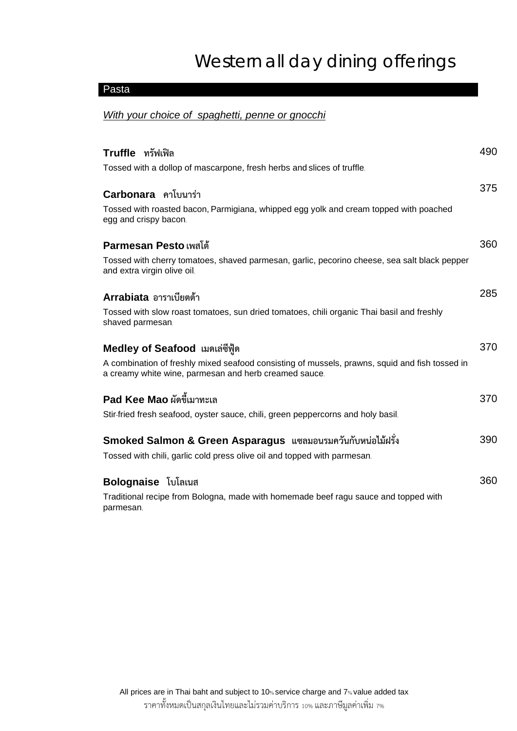# Western all day dining offerings

#### Pasta

#### *With your choice of spaghetti, penne or gnocchi*

| Truffle ทรัฟเฟิล                                                                                                                                        | 490 |
|---------------------------------------------------------------------------------------------------------------------------------------------------------|-----|
| Tossed with a dollop of mascarpone, fresh herbs and slices of truffle.                                                                                  |     |
| Carbonara คาโบนาร่า                                                                                                                                     | 375 |
| Tossed with roasted bacon, Parmigiana, whipped egg yolk and cream topped with poached<br>egg and crispy bacon.                                          |     |
| Parmesan Pesto เพสโต้                                                                                                                                   | 360 |
| Tossed with cherry tomatoes, shaved parmesan, garlic, pecorino cheese, sea salt black pepper<br>and extra virgin olive oil.                             |     |
| Arrabiata อาราเบียตต้า                                                                                                                                  | 285 |
| Tossed with slow roast tomatoes, sun dried tomatoes, chili organic Thai basil and freshly<br>shaved parmesan.                                           |     |
| Medley of Seafood เมดเล่ซีฟู้ด                                                                                                                          | 370 |
| A combination of freshly mixed seafood consisting of mussels, prawns, squid and fish tossed in<br>a creamy white wine, parmesan and herb creamed sauce. |     |
| Pad Kee Mao ผัดขี้เมาทะเล                                                                                                                               | 370 |
| Stir-fried fresh seafood, oyster sauce, chili, green peppercorns and holy basil.                                                                        |     |
| Smoked Salmon & Green Asparagus แซลมอนรมควันกับหน่อไม้ฝรั่ง                                                                                             | 390 |
| Tossed with chili, garlic cold press olive oil and topped with parmesan.                                                                                |     |
| <b>Bolognaise</b> โบโลเนส                                                                                                                               | 360 |
| Traditional recipe from Bologna, made with homemade beef ragu sauce and topped with<br>parmesan.                                                        |     |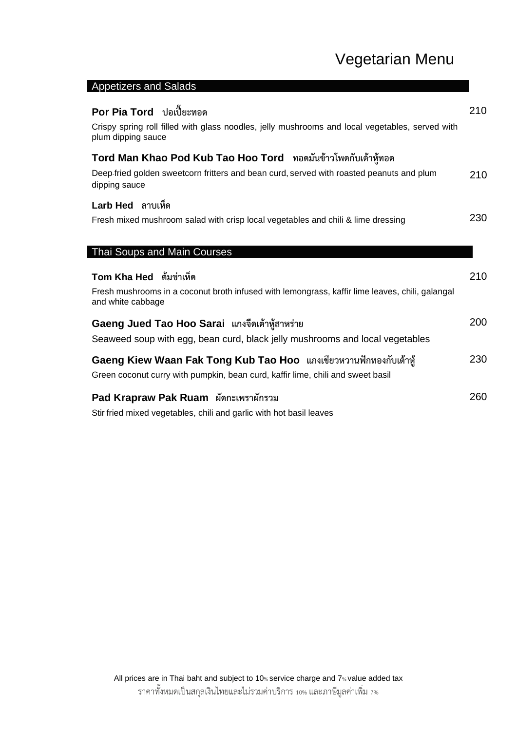### Vegetarian Menu

| <b>Appolizers and Udidus</b>                                                                                                                                               |     |
|----------------------------------------------------------------------------------------------------------------------------------------------------------------------------|-----|
| Por Pia Tord ปอเปี๊ยะทอด<br>Crispy spring roll filled with glass noodles, jelly mushrooms and local vegetables, served with<br>plum dipping sauce                          | 210 |
| Tord Man Khao Pod Kub Tao Hoo Tord ทอดมันข้าวโพดกับเต้าหู้ทอด<br>Deep fried golden sweetcorn fritters and bean curd, served with roasted peanuts and plum<br>dipping sauce | 210 |
| Larb Hed ลาบเห็ด<br>Fresh mixed mushroom salad with crisp local vegetables and chili & lime dressing                                                                       | 230 |
| Thai Soups and Main Courses                                                                                                                                                |     |
| Tom Kha Hed ต้มข่าเห็ด<br>Fresh mushrooms in a coconut broth infused with lemongrass, kaffir lime leaves, chili, galangal<br>and white cabbage                             | 210 |
| Gaeng Jued Tao Hoo Sarai แกงจืดเต้าหู้สาหร่าย<br>Seaweed soup with egg, bean curd, black jelly mushrooms and local vegetables                                              | 200 |
| Gaeng Kiew Waan Fak Tong Kub Tao Hoo แกงเขียวหวานฟักทองกับเต้าหู้<br>Green coconut curry with pumpkin, bean curd, kaffir lime, chili and sweet basil                       | 230 |
| Pad Krapraw Pak Ruam ผัดกะเพราผักรวม                                                                                                                                       | 260 |

Stir-fried mixed vegetables, chili and garlic with hot basil leaves

Appetizers and Salads